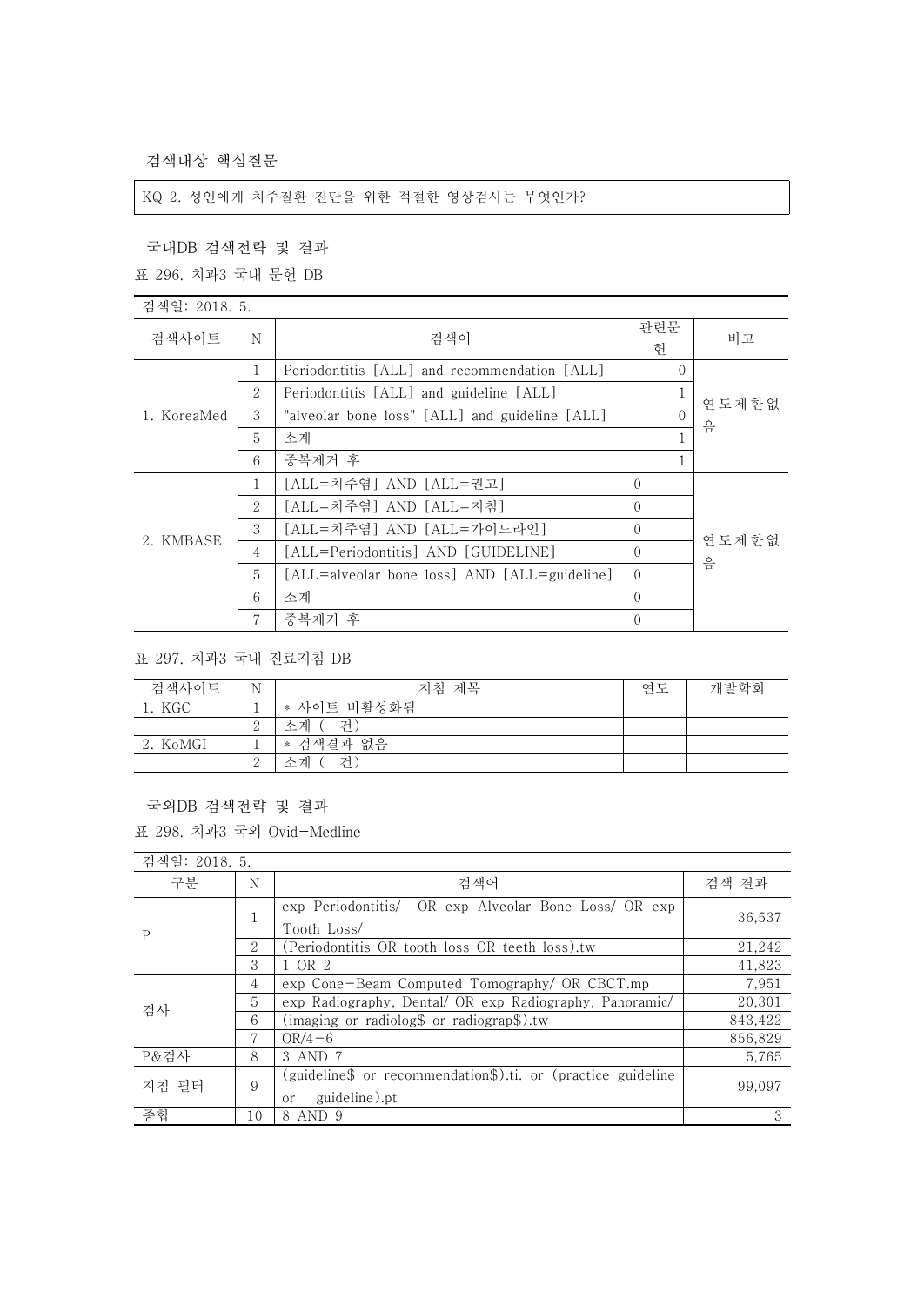검색대상 핵심질문

## KQ 2. 성인에게 치주질환 진단을 위한 적절한 영상검사는 무엇인가?

## 국내DB 검색전략 및 결과

표 296. 치과3 국내 문헌 DB

| 검색일: 2018. 5. |                |                                                |                |            |
|---------------|----------------|------------------------------------------------|----------------|------------|
| 검색사이트         | N              | 검색어                                            | 관련문<br>헌       | 비고         |
| 1. KoreaMed   | 1              | Periodontitis [ALL] and recommendation [ALL]   | $\Omega$       | 연도제한없<br>음 |
|               | $\overline{2}$ | Periodontitis [ALL] and guideline [ALL]        |                |            |
|               | 3              | "alveolar bone loss" [ALL] and guideline [ALL] | $\Omega$       |            |
|               | 5              | 소계                                             |                |            |
|               | 6              | 중복제거 후                                         |                |            |
| 2. KMBASE     | 1              | [ALL=치주염] AND [ALL=권고]                         | $\Omega$       | 연도제한없<br>음 |
|               | 2              | [ALL=치주염] AND [ALL=지침]                         | $\Omega$       |            |
|               | 3              | [ALL=치주염] AND [ALL=가이드라인]                      | $\Omega$       |            |
|               | 4              | [ALL=Periodontitis] AND [GUIDELINE]            | $\Omega$       |            |
|               | 5              | [ALL=alveolar bone loss] AND [ALL=guideline]   | $\Omega$       |            |
|               | 6              | 소계                                             | $\Omega$       |            |
|               | 7              | 중복제거 후                                         | $\overline{0}$ |            |

표 297. 치과3 국내 진료지침 DB

| 검색사이트    | N             | 지침 제목       | 연도 | 개발학회 |
|----------|---------------|-------------|----|------|
| 1. KGC   |               | * 사이트 비활성화됨 |    |      |
|          | ↵             | 소계 (<br>거)  |    |      |
| 2. KoMGI |               | * 검색결과 없음   |    |      |
|          | $\Omega$<br>↵ | 건<br>수계     |    |      |

## 국외DB 검색전략 및 결과

표 298. 치과3 국외 Ovid-Medline

| 검색일: 2018. 5. |    |                                                                                                          |         |
|---------------|----|----------------------------------------------------------------------------------------------------------|---------|
| 구분            | N  | 검색어                                                                                                      | 검색 결과   |
| $\mathbf{P}$  |    | exp Periodontitis/ OR exp Alveolar Bone Loss/ OR exp<br>Tooth Loss/                                      | 36.537  |
|               | 2  | (Periodontitis OR tooth loss OR teeth loss).tw                                                           | 21,242  |
|               | 3  | 1 OR 2                                                                                                   | 41,823  |
| 검사            | 4  | exp Cone-Beam Computed Tomography/ OR CBCT.mp                                                            | 7,951   |
|               | 5  | exp Radiography, Dental/ OR exp Radiography, Panoramic/                                                  | 20,301  |
|               | 6  | (imaging or radiolog\$ or radiograp\$).tw                                                                | 843,422 |
|               | 7  | $OR/4-6$                                                                                                 | 856,829 |
| P&검사          | 8  | 3 AND 7                                                                                                  | 5,765   |
| 지침 필터         | 9  | (guideline\$ or recommendation\$).ti. or (practice guideline<br>99.097<br>guideline).pt<br><sub>or</sub> |         |
| 종합            | 10 | 8 AND 9                                                                                                  | 3       |